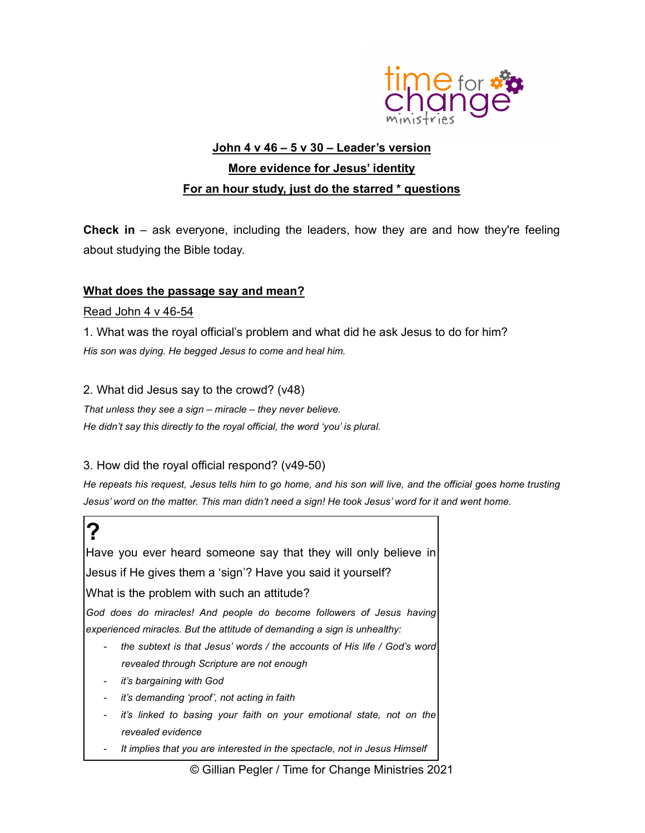

# John 4 v 46 – 5 v 30 – Leader's version More evidence for Jesus' identity For an hour study, just do the starred \* questions

**Check in** – ask everyone, including the leaders, how they are and how they're feeling about studying the Bible today.

#### What does the passage say and mean?

#### Read John 4 v 46-54

1. What was the royal official's problem and what did he ask Jesus to do for him? His son was dying. He begged Jesus to come and heal him.

2. What did Jesus say to the crowd? (v48)

That unless they see a sign – miracle – they never believe. He didn't say this directly to the royal official, the word 'you' is plural.

#### 3. How did the royal official respond? (v49-50)

He repeats his request, Jesus tells him to go home, and his son will live, and the official goes home trusting Jesus' word on the matter. This man didn't need a sign! He took Jesus' word for it and went home.

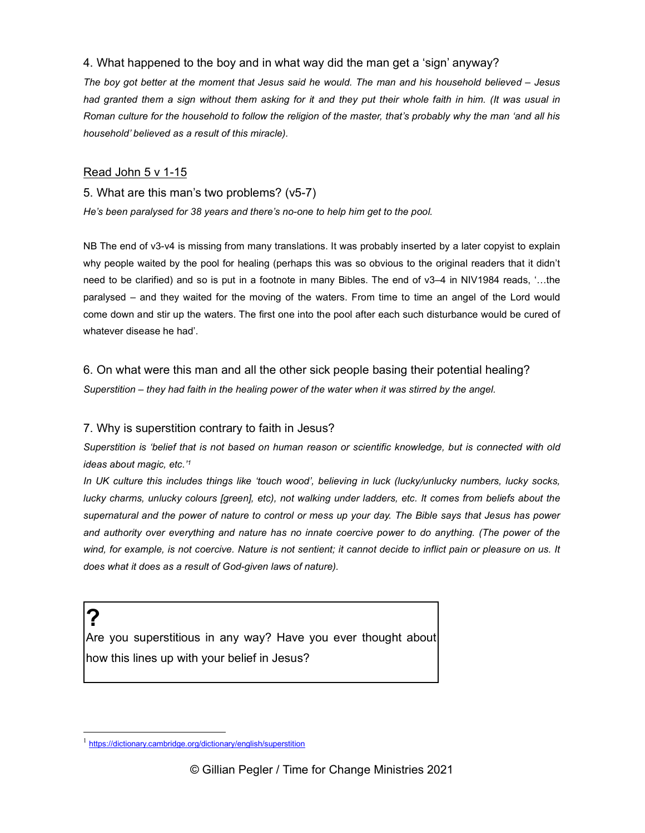### 4. What happened to the boy and in what way did the man get a 'sign' anyway?

The boy got better at the moment that Jesus said he would. The man and his household believed – Jesus had granted them a sign without them asking for it and they put their whole faith in him. (It was usual in Roman culture for the household to follow the religion of the master, that's probably why the man 'and all his household' believed as a result of this miracle).

#### **Read John 5 v 1-15**

#### 5. What are this man's two problems? (v5-7)

He's been paralysed for 38 years and there's no-one to help him get to the pool.

NB The end of v3-v4 is missing from many translations. It was probably inserted by a later copyist to explain why people waited by the pool for healing (perhaps this was so obvious to the original readers that it didn't need to be clarified) and so is put in a footnote in many Bibles. The end of v3–4 in NIV1984 reads, '…the paralysed – and they waited for the moving of the waters. From time to time an angel of the Lord would come down and stir up the waters. The first one into the pool after each such disturbance would be cured of whatever disease he had'.

#### 6. On what were this man and all the other sick people basing their potential healing?

Superstition – they had faith in the healing power of the water when it was stirred by the angel.

#### 7. Why is superstition contrary to faith in Jesus?

Superstition is 'belief that is not based on human reason or scientific knowledge, but is connected with old ideas about magic, etc.'<sup>1</sup>

In UK culture this includes things like 'touch wood', believing in luck (lucky/unlucky numbers, lucky socks, lucky charms, unlucky colours [green], etc), not walking under ladders, etc. It comes from beliefs about the supernatural and the power of nature to control or mess up your day. The Bible says that Jesus has power and authority over everything and nature has no innate coercive power to do anything. (The power of the wind, for example, is not coercive. Nature is not sentient; it cannot decide to inflict pain or pleasure on us. It does what it does as a result of God-given laws of nature).

?

Are you superstitious in any way? Have you ever thought about how this lines up with your belief in Jesus?

<sup>&</sup>lt;sup>1</sup> https://dictionary.cambridge.org/dictionary/english/superstition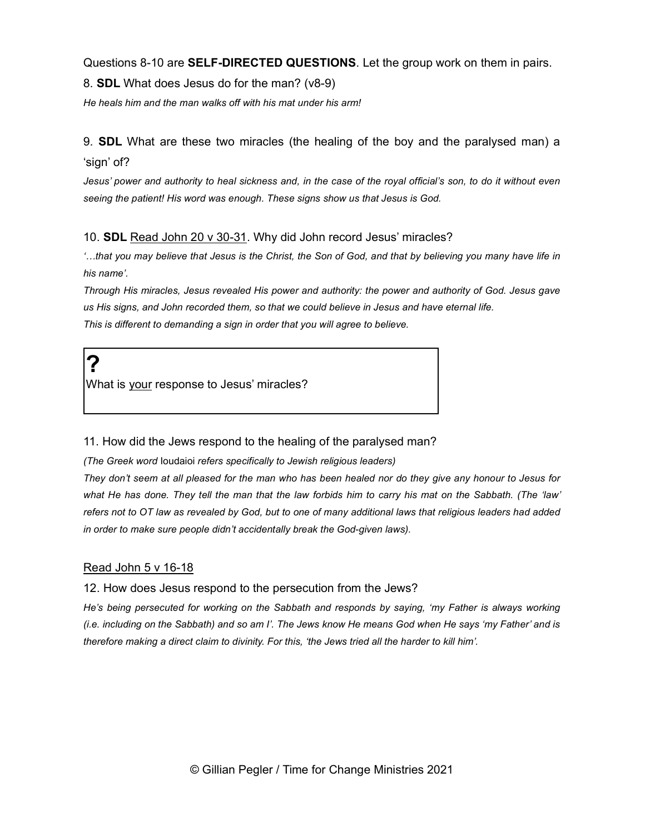Questions 8-10 are **SELF-DIRECTED QUESTIONS**. Let the group work on them in pairs.

8. SDL What does Jesus do for the man? (v8-9)

He heals him and the man walks off with his mat under his arm!

9. SDL What are these two miracles (the healing of the boy and the paralysed man) a 'sign' of?

Jesus' power and authority to heal sickness and, in the case of the royal official's son, to do it without even seeing the patient! His word was enough. These signs show us that Jesus is God.

# 10. SDL Read John 20 v 30-31. Why did John record Jesus' miracles?

'…that you may believe that Jesus is the Christ, the Son of God, and that by believing you many have life in his name'.

Through His miracles, Jesus revealed His power and authority: the power and authority of God. Jesus gave us His signs, and John recorded them, so that we could believe in Jesus and have eternal life. This is different to demanding a sign in order that you will agree to believe.

? What is your response to Jesus' miracles?

# 11. How did the Jews respond to the healing of the paralysed man?

(The Greek word Ioudaioi refers specifically to Jewish religious leaders)

They don't seem at all pleased for the man who has been healed nor do they give any honour to Jesus for what He has done. They tell the man that the law forbids him to carry his mat on the Sabbath. (The 'law' refers not to OT law as revealed by God, but to one of many additional laws that religious leaders had added in order to make sure people didn't accidentally break the God-given laws).

# Read John 5 v 16-18

#### 12. How does Jesus respond to the persecution from the Jews?

He's being persecuted for working on the Sabbath and responds by saying, 'my Father is always working (i.e. including on the Sabbath) and so am I'. The Jews know He means God when He says 'my Father' and is therefore making a direct claim to divinity. For this, 'the Jews tried all the harder to kill him'.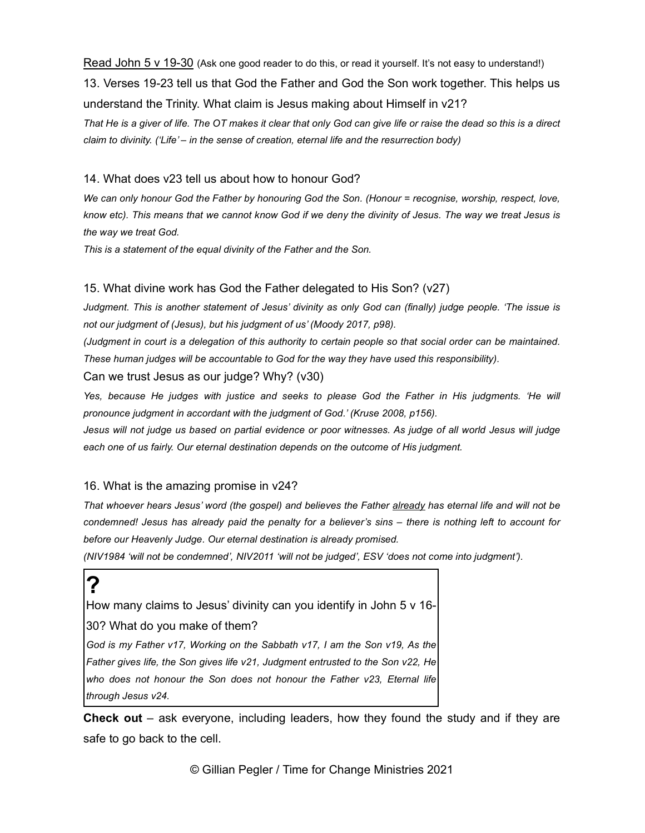Read John 5 v 19-30 (Ask one good reader to do this, or read it yourself. It's not easy to understand!) 13. Verses 19-23 tell us that God the Father and God the Son work together. This helps us understand the Trinity. What claim is Jesus making about Himself in v21? That He is a giver of life. The OT makes it clear that only God can give life or raise the dead so this is a direct claim to divinity. ('Life' – in the sense of creation, eternal life and the resurrection body)

### 14. What does v23 tell us about how to honour God?

We can only honour God the Father by honouring God the Son. (Honour = recognise, worship, respect, love, know etc). This means that we cannot know God if we deny the divinity of Jesus. The way we treat Jesus is the way we treat God.

This is a statement of the equal divinity of the Father and the Son.

# 15. What divine work has God the Father delegated to His Son? (v27)

Judgment. This is another statement of Jesus' divinity as only God can (finally) judge people. 'The issue is not our judgment of (Jesus), but his judgment of us' (Moody 2017, p98).

(Judgment in court is a delegation of this authority to certain people so that social order can be maintained. These human judges will be accountable to God for the way they have used this responsibility).

Can we trust Jesus as our judge? Why? (v30)

Yes, because He judges with justice and seeks to please God the Father in His judgments. 'He will pronounce judgment in accordant with the judgment of God.' (Kruse 2008, p156).

Jesus will not judge us based on partial evidence or poor witnesses. As judge of all world Jesus will judge each one of us fairly. Our eternal destination depends on the outcome of His judgment.

# 16. What is the amazing promise in v24?

That whoever hears Jesus' word (the gospel) and believes the Father already has eternal life and will not be condemned! Jesus has already paid the penalty for a believer's sins – there is nothing left to account for before our Heavenly Judge. Our eternal destination is already promised.

(NIV1984 'will not be condemned', NIV2011 'will not be judged', ESV 'does not come into judgment').

# ?

How many claims to Jesus' divinity can you identify in John 5 v 16-

30? What do you make of them?

God is my Father v17, Working on the Sabbath v17, I am the Son v19, As the Father gives life, the Son gives life v21, Judgment entrusted to the Son v22, He who does not honour the Son does not honour the Father v23, Eternal life through Jesus v24.

**Check out** – ask everyone, including leaders, how they found the study and if they are safe to go back to the cell.

© Gillian Pegler / Time for Change Ministries 2021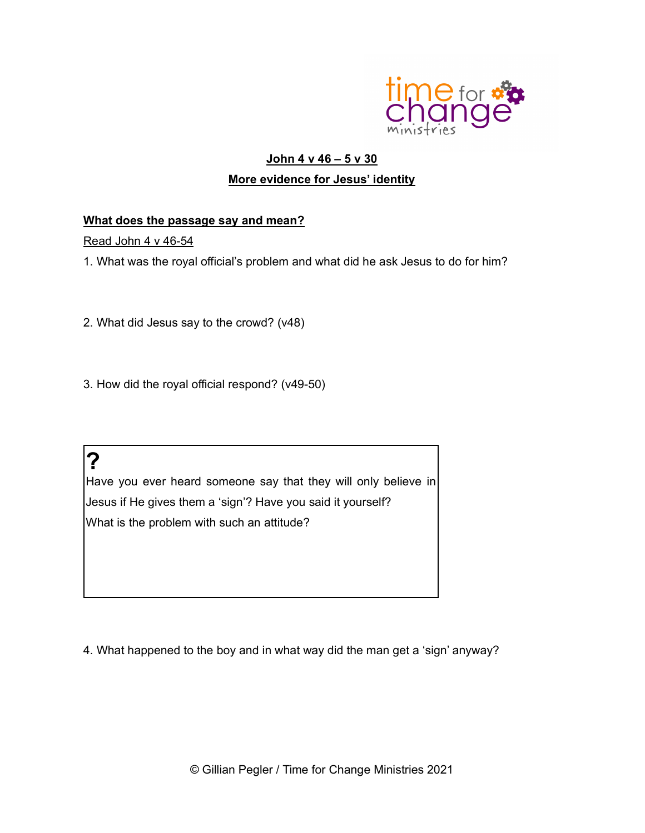

# John 4 v 46 – 5 v 30 More evidence for Jesus' identity

# What does the passage say and mean?

Read John 4 v 46-54

1. What was the royal official's problem and what did he ask Jesus to do for him?

- 2. What did Jesus say to the crowd? (v48)
- 3. How did the royal official respond? (v49-50)

?

Have you ever heard someone say that they will only believe in Jesus if He gives them a 'sign'? Have you said it yourself? What is the problem with such an attitude?

4. What happened to the boy and in what way did the man get a 'sign' anyway?

© Gillian Pegler / Time for Change Ministries 2021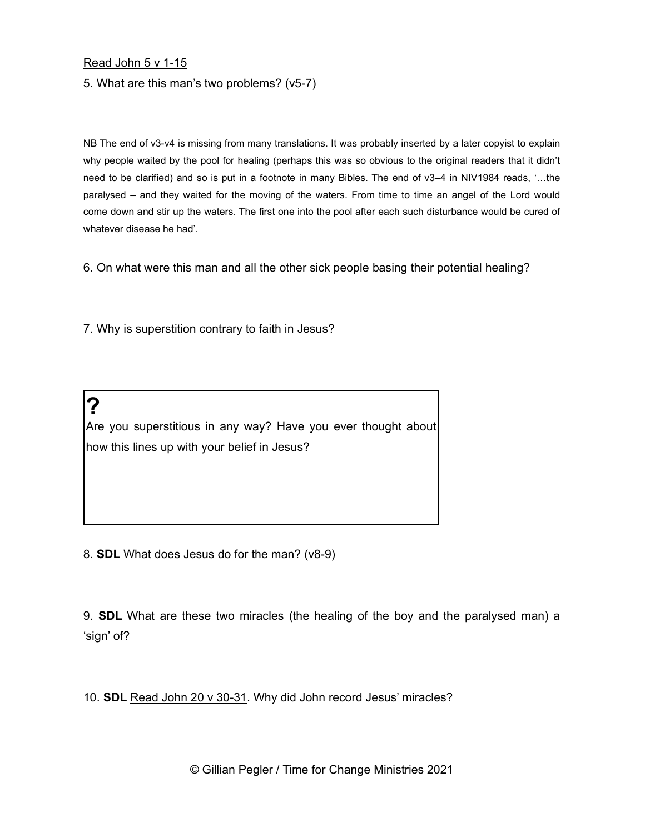#### Read John 5 v 1-15

?

5. What are this man's two problems? (v5-7)

NB The end of v3-v4 is missing from many translations. It was probably inserted by a later copyist to explain why people waited by the pool for healing (perhaps this was so obvious to the original readers that it didn't need to be clarified) and so is put in a footnote in many Bibles. The end of v3–4 in NIV1984 reads, '…the paralysed – and they waited for the moving of the waters. From time to time an angel of the Lord would come down and stir up the waters. The first one into the pool after each such disturbance would be cured of whatever disease he had'.

6. On what were this man and all the other sick people basing their potential healing?

7. Why is superstition contrary to faith in Jesus?

Are you superstitious in any way? Have you ever thought about how this lines up with your belief in Jesus?

8. SDL What does Jesus do for the man? (v8-9)

9. SDL What are these two miracles (the healing of the boy and the paralysed man) a 'sign' of?

10. SDL Read John 20 v 30-31. Why did John record Jesus' miracles?

© Gillian Pegler / Time for Change Ministries 2021